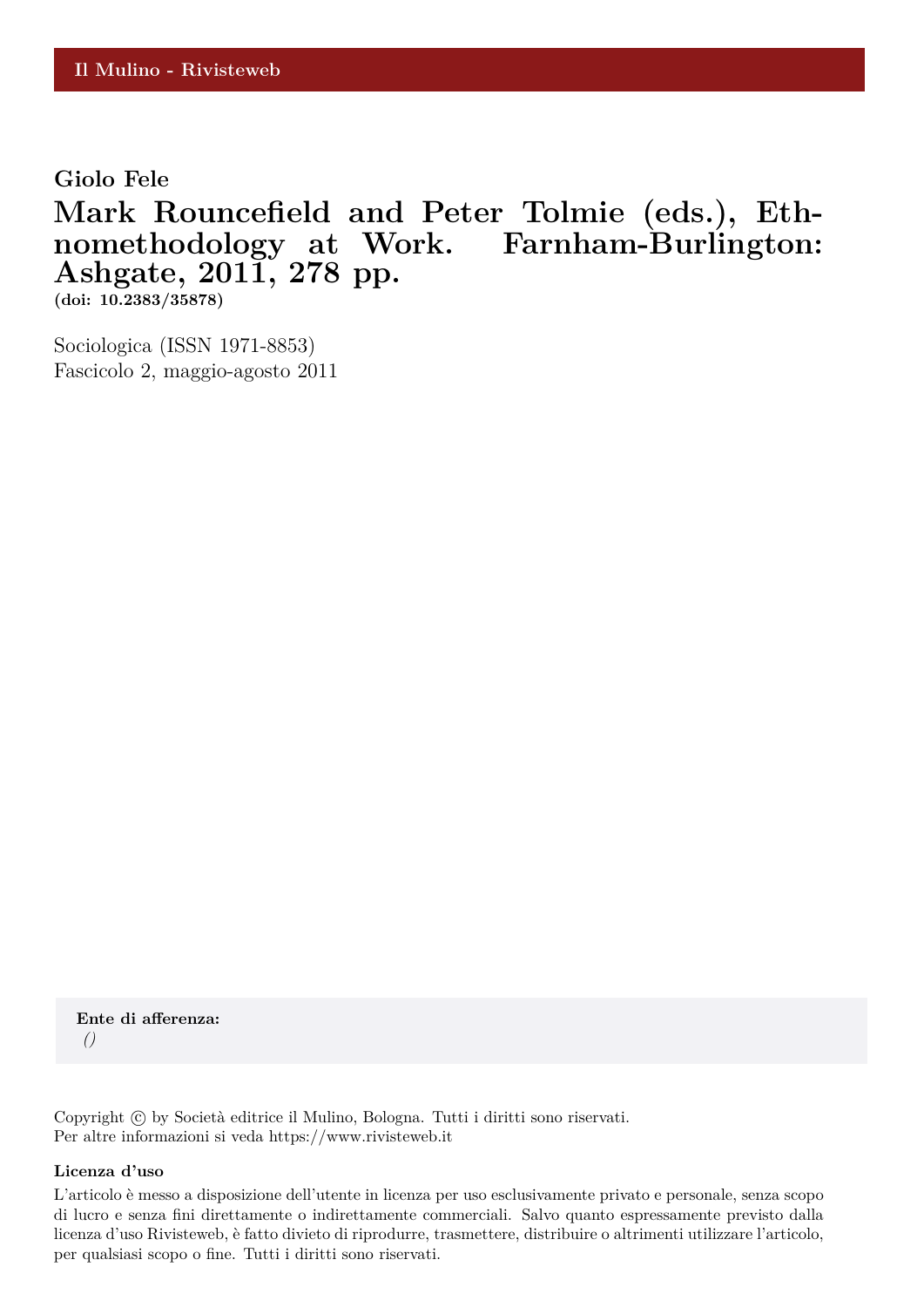**Giolo Fele**

## **Mark Rouncefield and Peter Tolmie (eds.), Ethnomethodology at Work. Farnham-Burlington: Ashgate, 2011, 278 pp.**

**(doi: 10.2383/35878)**

Sociologica (ISSN 1971-8853) Fascicolo 2, maggio-agosto 2011

**Ente di afferenza:** *()*

Copyright © by Società editrice il Mulino, Bologna. Tutti i diritti sono riservati. Per altre informazioni si veda https://www.rivisteweb.it

## **Licenza d'uso**

L'articolo è messo a disposizione dell'utente in licenza per uso esclusivamente privato e personale, senza scopo di lucro e senza fini direttamente o indirettamente commerciali. Salvo quanto espressamente previsto dalla licenza d'uso Rivisteweb, è fatto divieto di riprodurre, trasmettere, distribuire o altrimenti utilizzare l'articolo, per qualsiasi scopo o fine. Tutti i diritti sono riservati.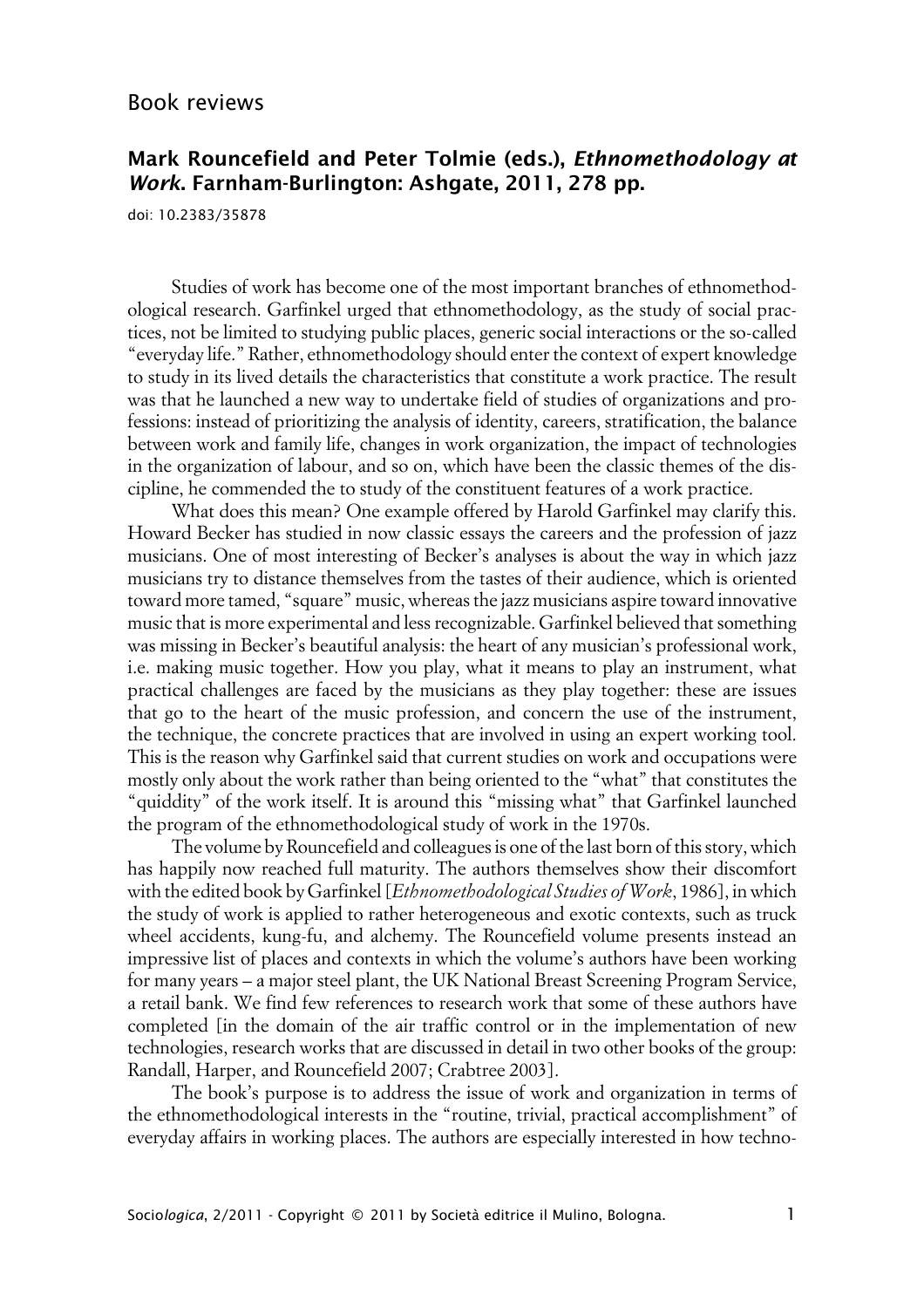## **Mark Rouncefield and Peter Tolmie (eds.), Ethnomethodology at Work. Farnham-Burlington: Ashgate, 2011, 278 pp.**

doi: 10.2383/35878

Studies of work has become one of the most important branches of ethnomethodological research. Garfinkel urged that ethnomethodology, as the study of social practices, not be limited to studying public places, generic social interactions or the so-called "everyday life." Rather, ethnomethodology should enter the context of expert knowledge to study in its lived details the characteristics that constitute a work practice. The result was that he launched a new way to undertake field of studies of organizations and professions: instead of prioritizing the analysis of identity, careers, stratification, the balance between work and family life, changes in work organization, the impact of technologies in the organization of labour, and so on, which have been the classic themes of the discipline, he commended the to study of the constituent features of a work practice.

What does this mean? One example offered by Harold Garfinkel may clarify this. Howard Becker has studied in now classic essays the careers and the profession of jazz musicians. One of most interesting of Becker's analyses is about the way in which jazz musicians try to distance themselves from the tastes of their audience, which is oriented toward more tamed, "square" music, whereas the jazz musicians aspire toward innovative music that is more experimental and less recognizable. Garfinkel believed that something was missing in Becker's beautiful analysis: the heart of any musician's professional work, i.e. making music together. How you play, what it means to play an instrument, what practical challenges are faced by the musicians as they play together: these are issues that go to the heart of the music profession, and concern the use of the instrument, the technique, the concrete practices that are involved in using an expert working tool. This is the reason why Garfinkel said that current studies on work and occupations were mostly only about the work rather than being oriented to the "what" that constitutes the "quiddity" of the work itself. It is around this "missing what" that Garfinkel launched the program of the ethnomethodological study of work in the 1970s.

The volume by Rouncefield and colleagues is one of the last born of this story, which has happily now reached full maturity. The authors themselves show their discomfort with the edited book by Garfinkel [*Ethnomethodological Studies of Work*, 1986], in which the study of work is applied to rather heterogeneous and exotic contexts, such as truck wheel accidents, kung-fu, and alchemy. The Rouncefield volume presents instead an impressive list of places and contexts in which the volume's authors have been working for many years – a major steel plant, the UK National Breast Screening Program Service, a retail bank. We find few references to research work that some of these authors have completed [in the domain of the air traffic control or in the implementation of new technologies, research works that are discussed in detail in two other books of the group: Randall, Harper, and Rouncefield 2007; Crabtree 2003].

The book's purpose is to address the issue of work and organization in terms of the ethnomethodological interests in the "routine, trivial, practical accomplishment" of everyday affairs in working places. The authors are especially interested in how techno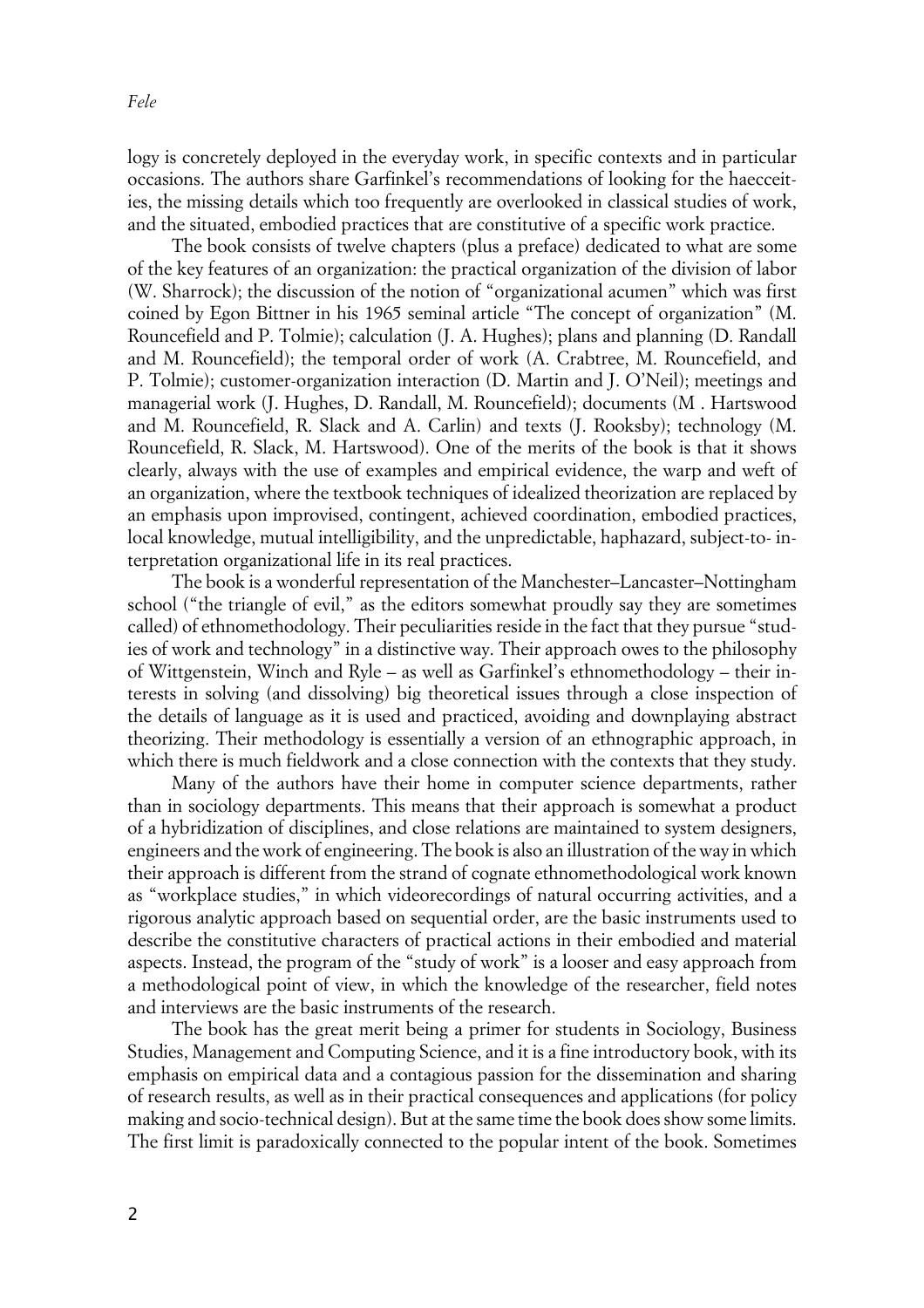logy is concretely deployed in the everyday work, in specific contexts and in particular occasions. The authors share Garfinkel's recommendations of looking for the haecceities, the missing details which too frequently are overlooked in classical studies of work, and the situated, embodied practices that are constitutive of a specific work practice.

The book consists of twelve chapters (plus a preface) dedicated to what are some of the key features of an organization: the practical organization of the division of labor (W. Sharrock); the discussion of the notion of "organizational acumen" which was first coined by Egon Bittner in his 1965 seminal article "The concept of organization" (M. Rouncefield and P. Tolmie); calculation (J. A. Hughes); plans and planning (D. Randall and M. Rouncefield); the temporal order of work (A. Crabtree, M. Rouncefield, and P. Tolmie); customer-organization interaction (D. Martin and J. O'Neil); meetings and managerial work (J. Hughes, D. Randall, M. Rouncefield); documents (M . Hartswood and M. Rouncefield, R. Slack and A. Carlin) and texts (J. Rooksby); technology (M. Rouncefield, R. Slack, M. Hartswood). One of the merits of the book is that it shows clearly, always with the use of examples and empirical evidence, the warp and weft of an organization, where the textbook techniques of idealized theorization are replaced by an emphasis upon improvised, contingent, achieved coordination, embodied practices, local knowledge, mutual intelligibility, and the unpredictable, haphazard, subject-to- interpretation organizational life in its real practices.

The book is a wonderful representation of the Manchester–Lancaster–Nottingham school ("the triangle of evil," as the editors somewhat proudly say they are sometimes called) of ethnomethodology. Their peculiarities reside in the fact that they pursue "studies of work and technology" in a distinctive way. Their approach owes to the philosophy of Wittgenstein, Winch and Ryle – as well as Garfinkel's ethnomethodology – their interests in solving (and dissolving) big theoretical issues through a close inspection of the details of language as it is used and practiced, avoiding and downplaying abstract theorizing. Their methodology is essentially a version of an ethnographic approach, in which there is much fieldwork and a close connection with the contexts that they study.

Many of the authors have their home in computer science departments, rather than in sociology departments. This means that their approach is somewhat a product of a hybridization of disciplines, and close relations are maintained to system designers, engineers and the work of engineering. The book is also an illustration of the way in which their approach is different from the strand of cognate ethnomethodological work known as "workplace studies," in which videorecordings of natural occurring activities, and a rigorous analytic approach based on sequential order, are the basic instruments used to describe the constitutive characters of practical actions in their embodied and material aspects. Instead, the program of the "study of work" is a looser and easy approach from a methodological point of view, in which the knowledge of the researcher, field notes and interviews are the basic instruments of the research.

The book has the great merit being a primer for students in Sociology, Business Studies, Management and Computing Science, and it is a fine introductory book, with its emphasis on empirical data and a contagious passion for the dissemination and sharing of research results, as well as in their practical consequences and applications (for policy making and socio-technical design). But at the same time the book does show some limits. The first limit is paradoxically connected to the popular intent of the book. Sometimes